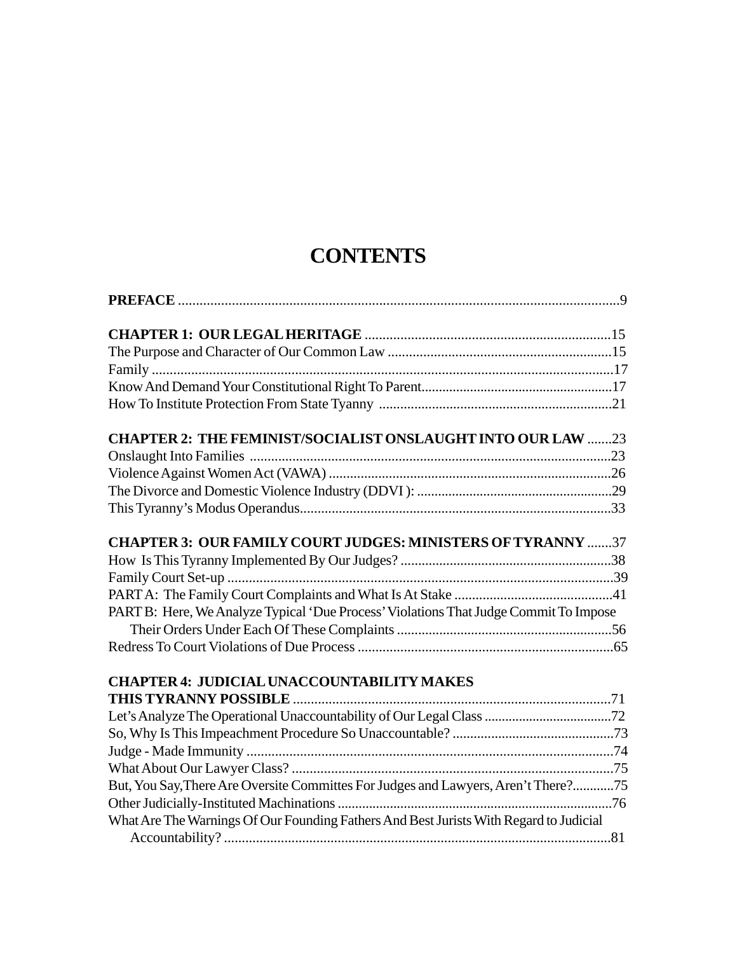## **CONTENTS**

| <b>CHAPTER 2: THE FEMINIST/SOCIALIST ONSLAUGHT INTO OUR LAW 23</b>                     |  |
|----------------------------------------------------------------------------------------|--|
|                                                                                        |  |
|                                                                                        |  |
|                                                                                        |  |
|                                                                                        |  |
| <b>CHAPTER 3: OUR FAMILY COURT JUDGES: MINISTERS OF TYRANNY 37</b>                     |  |
|                                                                                        |  |
|                                                                                        |  |
|                                                                                        |  |
| PART B: Here, We Analyze Typical 'Due Process' Violations That Judge Commit To Impose  |  |
|                                                                                        |  |
|                                                                                        |  |
| <b>CHAPTER 4: JUDICIAL UNACCOUNTABILITY MAKES</b>                                      |  |
|                                                                                        |  |
|                                                                                        |  |
|                                                                                        |  |
|                                                                                        |  |
|                                                                                        |  |
| But, You Say, There Are Oversite Committes For Judges and Lawyers, Aren't There?75     |  |
|                                                                                        |  |
| What Are The Warnings Of Our Founding Fathers And Best Jurists With Regard to Judicial |  |
|                                                                                        |  |